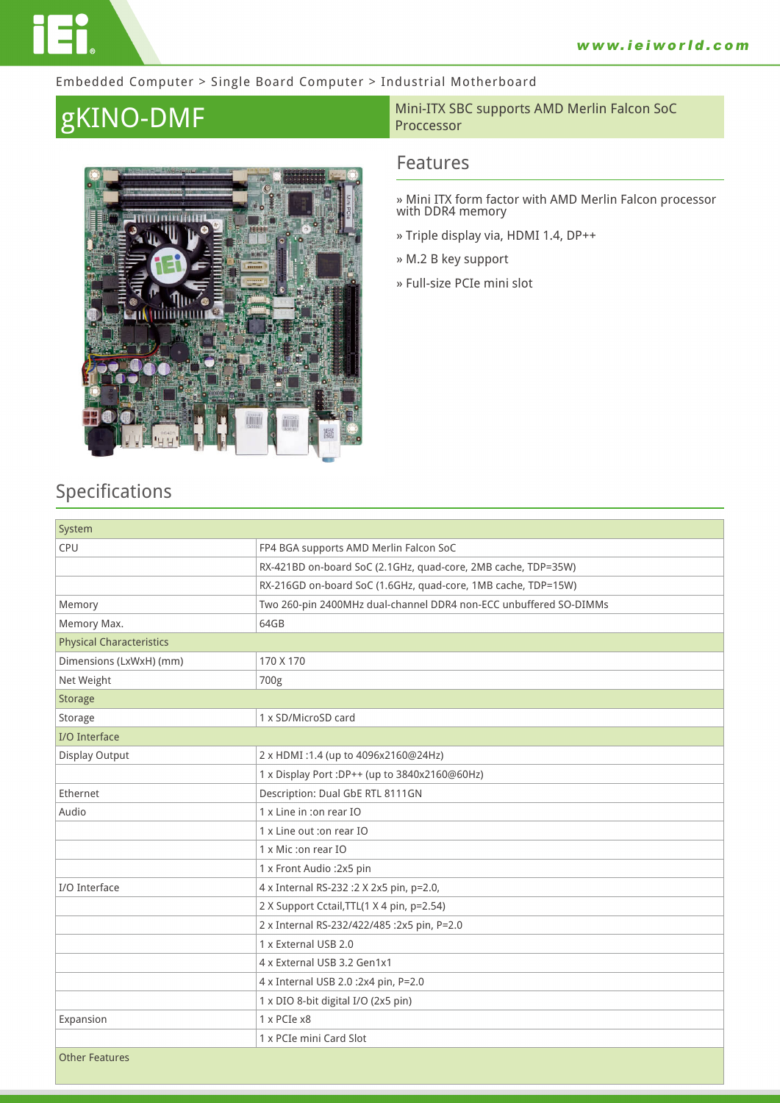#### Embedded Computer > Single Board Computer > Industrial Motherboard



#### **gKINO-DMF** Mini-ITX SBC supports AMD Merlin Falcon SoC Proccessor

### **Features**

**» Mini ITX form factor with AMD Merlin Falcon processor with DDR4 memory**

- **» Triple display via, HDMI 1.4, DP++**
- **» M.2 B key support**
- **» Full-size PCIe mini slot**

## **Specifications**

| System                          |                                                                   |  |
|---------------------------------|-------------------------------------------------------------------|--|
| CPU                             | FP4 BGA supports AMD Merlin Falcon SoC                            |  |
|                                 | RX-421BD on-board SoC (2.1GHz, quad-core, 2MB cache, TDP=35W)     |  |
|                                 | RX-216GD on-board SoC (1.6GHz, quad-core, 1MB cache, TDP=15W)     |  |
| Memory                          | Two 260-pin 2400MHz dual-channel DDR4 non-ECC unbuffered SO-DIMMs |  |
| Memory Max.                     | 64GB                                                              |  |
| <b>Physical Characteristics</b> |                                                                   |  |
| Dimensions (LxWxH) (mm)         | 170 X 170                                                         |  |
| Net Weight                      | 700g                                                              |  |
| <b>Storage</b>                  |                                                                   |  |
| Storage                         | 1 x SD/MicroSD card                                               |  |
| I/O Interface                   |                                                                   |  |
| Display Output                  | 2 x HDMI:1.4 (up to 4096x2160@24Hz)                               |  |
|                                 | 1 x Display Port : DP++ (up to 3840x2160@60Hz)                    |  |
| Ethernet                        | Description: Dual GbE RTL 8111GN                                  |  |
| Audio                           | 1 x Line in :on rear IO                                           |  |
|                                 | 1 x Line out :on rear IO                                          |  |
|                                 | 1 x Mic :on rear IO                                               |  |
|                                 | 1 x Front Audio : 2x5 pin                                         |  |
| I/O Interface                   | 4 x Internal RS-232 : 2 X 2x5 pin, p=2.0,                         |  |
|                                 | 2 X Support Cctail, TTL(1 X 4 pin, p=2.54)                        |  |
|                                 | 2 x Internal RS-232/422/485 :2x5 pin, P=2.0                       |  |
|                                 | 1 x External USB 2.0                                              |  |
|                                 | 4 x External USB 3.2 Gen1x1                                       |  |
|                                 | 4 x Internal USB 2.0 :2x4 pin, P=2.0                              |  |
|                                 | 1 x DIO 8-bit digital I/O (2x5 pin)                               |  |
| Expansion                       | 1 x PCIe x8                                                       |  |
|                                 | 1 x PCIe mini Card Slot                                           |  |
| <b>Other Features</b>           |                                                                   |  |